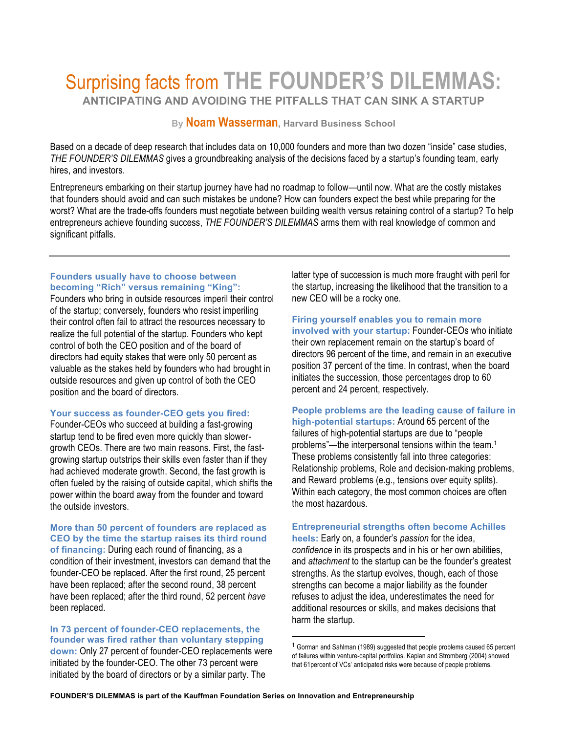# Surprising facts from **THE FOUNDER'S DILEMMAS: ANTICIPATING AND AVOIDING THE PITFALLS THAT CAN SINK A STARTUP**

# **By Noam Wasserman, Harvard Business School**

Based on a decade of deep research that includes data on 10,000 founders and more than two dozen "inside" case studies, *THE FOUNDER'S DILEMMAS* gives a groundbreaking analysis of the decisions faced by a startup's founding team, early hires, and investors.

Entrepreneurs embarking on their startup journey have had no roadmap to follow—until now. What are the costly mistakes that founders should avoid and can such mistakes be undone? How can founders expect the best while preparing for the worst? What are the trade-offs founders must negotiate between building wealth versus retaining control of a startup? To help entrepreneurs achieve founding success, *THE FOUNDER'S DILEMMAS* arms them with real knowledge of common and significant pitfalls.

#### **Founders usually have to choose between becoming "Rich" versus remaining "King":**

Founders who bring in outside resources imperil their control of the startup; conversely, founders who resist imperiling their control often fail to attract the resources necessary to realize the full potential of the startup. Founders who kept control of both the CEO position and of the board of directors had equity stakes that were only 50 percent as valuable as the stakes held by founders who had brought in outside resources and given up control of both the CEO position and the board of directors.

## **Your success as founder-CEO gets you fired:**

Founder-CEOs who succeed at building a fast-growing startup tend to be fired even more quickly than slowergrowth CEOs. There are two main reasons. First, the fastgrowing startup outstrips their skills even faster than if they had achieved moderate growth. Second, the fast growth is often fueled by the raising of outside capital, which shifts the power within the board away from the founder and toward the outside investors.

### **More than 50 percent of founders are replaced as CEO by the time the startup raises its third round**

**of financing:** During each round of financing, as a condition of their investment, investors can demand that the founder-CEO be replaced. After the first round, 25 percent have been replaced; after the second round, 38 percent have been replaced; after the third round, 52 percent *have* been replaced.

**In 73 percent of founder-CEO replacements, the founder was fired rather than voluntary stepping down:** Only 27 percent of founder-CEO replacements were initiated by the founder-CEO. The other 73 percent were initiated by the board of directors or by a similar party. The

latter type of succession is much more fraught with peril for the startup, increasing the likelihood that the transition to a new CEO will be a rocky one.

# **Firing yourself enables you to remain more**

**involved with your startup:** Founder-CEOs who initiate their own replacement remain on the startup's board of directors 96 percent of the time, and remain in an executive position 37 percent of the time. In contrast, when the board initiates the succession, those percentages drop to 60 percent and 24 percent, respectively.

#### **People problems are the leading cause of failure in high-potential startups:** Around 65 percent of the failures of high-potential startups are due to "people

problems"—the interpersonal tensions within the team.1 These problems consistently fall into three categories: Relationship problems, Role and decision-making problems, and Reward problems (e.g., tensions over equity splits). Within each category, the most common choices are often the most hazardous.

#### **Entrepreneurial strengths often become Achilles**

**heels:** Early on, a founder's *passion* for the idea, *confidence* in its prospects and in his or her own abilities, and *attachment* to the startup can be the founder's greatest strengths. As the startup evolves, though, each of those strengths can become a major liability as the founder refuses to adjust the idea, underestimates the need for additional resources or skills, and makes decisions that harm the startup.

 

<sup>1</sup> Gorman and Sahlman (1989) suggested that people problems caused 65 percent of failures within venture-capital portfolios. Kaplan and Stromberg (2004) showed that 61percent of VCs' anticipated risks were because of people problems.